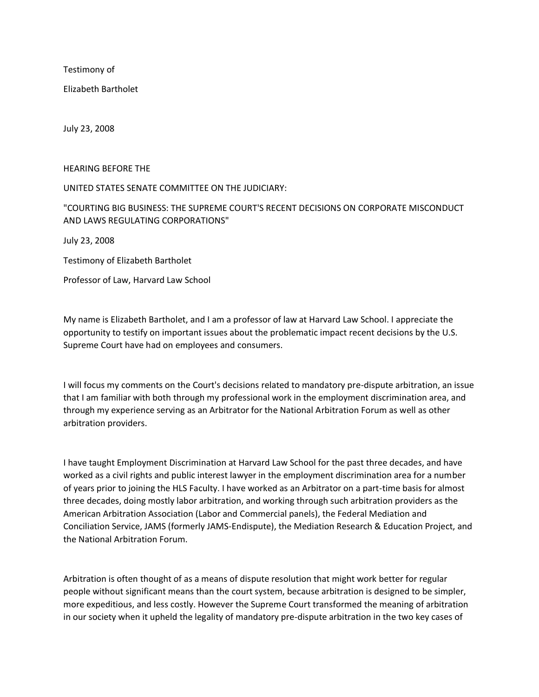Testimony of

Elizabeth Bartholet

July 23, 2008

HEARING BEFORE THE

## UNITED STATES SENATE COMMITTEE ON THE JUDICIARY:

## "COURTING BIG BUSINESS: THE SUPREME COURT'S RECENT DECISIONS ON CORPORATE MISCONDUCT AND LAWS REGULATING CORPORATIONS"

July 23, 2008

Testimony of Elizabeth Bartholet

Professor of Law, Harvard Law School

My name is Elizabeth Bartholet, and I am a professor of law at Harvard Law School. I appreciate the opportunity to testify on important issues about the problematic impact recent decisions by the U.S. Supreme Court have had on employees and consumers.

I will focus my comments on the Court's decisions related to mandatory pre-dispute arbitration, an issue that I am familiar with both through my professional work in the employment discrimination area, and through my experience serving as an Arbitrator for the National Arbitration Forum as well as other arbitration providers.

I have taught Employment Discrimination at Harvard Law School for the past three decades, and have worked as a civil rights and public interest lawyer in the employment discrimination area for a number of years prior to joining the HLS Faculty. I have worked as an Arbitrator on a part-time basis for almost three decades, doing mostly labor arbitration, and working through such arbitration providers as the American Arbitration Association (Labor and Commercial panels), the Federal Mediation and Conciliation Service, JAMS (formerly JAMS-Endispute), the Mediation Research & Education Project, and the National Arbitration Forum.

Arbitration is often thought of as a means of dispute resolution that might work better for regular people without significant means than the court system, because arbitration is designed to be simpler, more expeditious, and less costly. However the Supreme Court transformed the meaning of arbitration in our society when it upheld the legality of mandatory pre-dispute arbitration in the two key cases of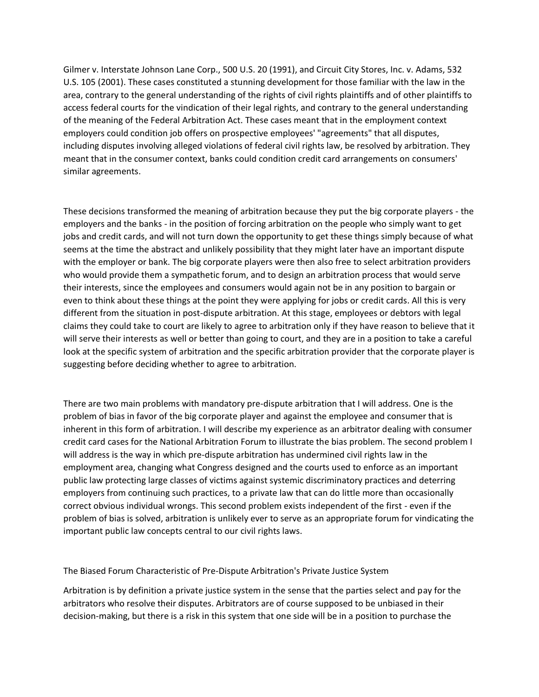Gilmer v. Interstate Johnson Lane Corp., 500 U.S. 20 (1991), and Circuit City Stores, Inc. v. Adams, 532 U.S. 105 (2001). These cases constituted a stunning development for those familiar with the law in the area, contrary to the general understanding of the rights of civil rights plaintiffs and of other plaintiffs to access federal courts for the vindication of their legal rights, and contrary to the general understanding of the meaning of the Federal Arbitration Act. These cases meant that in the employment context employers could condition job offers on prospective employees' "agreements" that all disputes, including disputes involving alleged violations of federal civil rights law, be resolved by arbitration. They meant that in the consumer context, banks could condition credit card arrangements on consumers' similar agreements.

These decisions transformed the meaning of arbitration because they put the big corporate players - the employers and the banks - in the position of forcing arbitration on the people who simply want to get jobs and credit cards, and will not turn down the opportunity to get these things simply because of what seems at the time the abstract and unlikely possibility that they might later have an important dispute with the employer or bank. The big corporate players were then also free to select arbitration providers who would provide them a sympathetic forum, and to design an arbitration process that would serve their interests, since the employees and consumers would again not be in any position to bargain or even to think about these things at the point they were applying for jobs or credit cards. All this is very different from the situation in post-dispute arbitration. At this stage, employees or debtors with legal claims they could take to court are likely to agree to arbitration only if they have reason to believe that it will serve their interests as well or better than going to court, and they are in a position to take a careful look at the specific system of arbitration and the specific arbitration provider that the corporate player is suggesting before deciding whether to agree to arbitration.

There are two main problems with mandatory pre-dispute arbitration that I will address. One is the problem of bias in favor of the big corporate player and against the employee and consumer that is inherent in this form of arbitration. I will describe my experience as an arbitrator dealing with consumer credit card cases for the National Arbitration Forum to illustrate the bias problem. The second problem I will address is the way in which pre-dispute arbitration has undermined civil rights law in the employment area, changing what Congress designed and the courts used to enforce as an important public law protecting large classes of victims against systemic discriminatory practices and deterring employers from continuing such practices, to a private law that can do little more than occasionally correct obvious individual wrongs. This second problem exists independent of the first - even if the problem of bias is solved, arbitration is unlikely ever to serve as an appropriate forum for vindicating the important public law concepts central to our civil rights laws.

The Biased Forum Characteristic of Pre-Dispute Arbitration's Private Justice System

Arbitration is by definition a private justice system in the sense that the parties select and pay for the arbitrators who resolve their disputes. Arbitrators are of course supposed to be unbiased in their decision-making, but there is a risk in this system that one side will be in a position to purchase the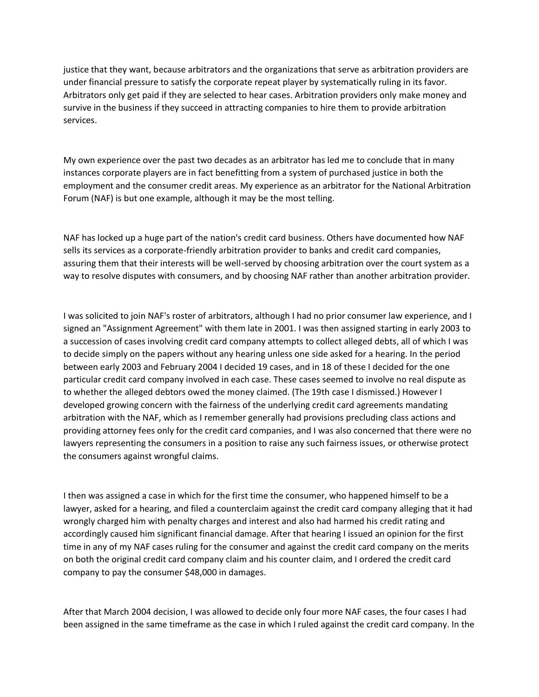justice that they want, because arbitrators and the organizations that serve as arbitration providers are under financial pressure to satisfy the corporate repeat player by systematically ruling in its favor. Arbitrators only get paid if they are selected to hear cases. Arbitration providers only make money and survive in the business if they succeed in attracting companies to hire them to provide arbitration services.

My own experience over the past two decades as an arbitrator has led me to conclude that in many instances corporate players are in fact benefitting from a system of purchased justice in both the employment and the consumer credit areas. My experience as an arbitrator for the National Arbitration Forum (NAF) is but one example, although it may be the most telling.

NAF has locked up a huge part of the nation's credit card business. Others have documented how NAF sells its services as a corporate-friendly arbitration provider to banks and credit card companies, assuring them that their interests will be well-served by choosing arbitration over the court system as a way to resolve disputes with consumers, and by choosing NAF rather than another arbitration provider.

I was solicited to join NAF's roster of arbitrators, although I had no prior consumer law experience, and I signed an "Assignment Agreement" with them late in 2001. I was then assigned starting in early 2003 to a succession of cases involving credit card company attempts to collect alleged debts, all of which I was to decide simply on the papers without any hearing unless one side asked for a hearing. In the period between early 2003 and February 2004 I decided 19 cases, and in 18 of these I decided for the one particular credit card company involved in each case. These cases seemed to involve no real dispute as to whether the alleged debtors owed the money claimed. (The 19th case I dismissed.) However I developed growing concern with the fairness of the underlying credit card agreements mandating arbitration with the NAF, which as I remember generally had provisions precluding class actions and providing attorney fees only for the credit card companies, and I was also concerned that there were no lawyers representing the consumers in a position to raise any such fairness issues, or otherwise protect the consumers against wrongful claims.

I then was assigned a case in which for the first time the consumer, who happened himself to be a lawyer, asked for a hearing, and filed a counterclaim against the credit card company alleging that it had wrongly charged him with penalty charges and interest and also had harmed his credit rating and accordingly caused him significant financial damage. After that hearing I issued an opinion for the first time in any of my NAF cases ruling for the consumer and against the credit card company on the merits on both the original credit card company claim and his counter claim, and I ordered the credit card company to pay the consumer \$48,000 in damages.

After that March 2004 decision, I was allowed to decide only four more NAF cases, the four cases I had been assigned in the same timeframe as the case in which I ruled against the credit card company. In the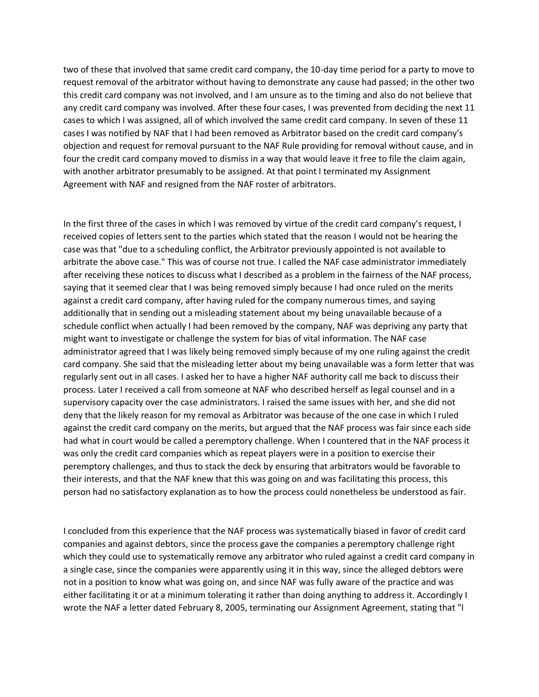two of these that involved that same credit card company, the 10-day time period for a party to move to request removal of the arbitrator without having to demonstrate any cause had passed; in the other two this credit card company was not involved, and I am unsure as to the timing and also do not believe that any credit card company was involved. After these four cases, I was prevented from deciding the next 11 cases to which I was assigned, all of which involved the same credit card company. In seven of these 11 cases I was notified by NAF that I had been removed as Arbitrator based on the credit card company's objection and request for removal pursuant to the NAF Rule providing for removal without cause, and in four the credit card company moved to dismiss in a way that would leave it free to file the claim again, with another arbitrator presumably to be assigned. At that point I terminated my Assignment Agreement with NAF and resigned from the NAF roster of arbitrators.

In the first three of the cases in which I was removed by virtue of the credit card company's request, I received copies of letters sent to the parties which stated that the reason I would not be hearing the case was that "due to a scheduling conflict, the Arbitrator previously appointed is not available to arbitrate the above case." This was of course not true. I called the NAF case administrator immediately after receiving these notices to discuss what I described as a problem in the fairness of the NAF process, saying that it seemed clear that I was being removed simply because I had once ruled on the merits against a credit card company, after having ruled for the company numerous times, and saying additionally that in sending out a misleading statement about my being unavailable because of a schedule conflict when actually I had been removed by the company, NAF was depriving any party that might want to investigate or challenge the system for bias of vital information. The NAF case administrator agreed that I was likely being removed simply because of my one ruling against the credit card company. She said that the misleading letter about my being unavailable was a form letter that was regularly sent out in all cases. I asked her to have a higher NAF authority call me back to discuss their process. Later I received a call from someone at NAF who described herself as legal counsel and in a supervisory capacity over the case administrators. I raised the same issues with her, and she did not deny that the likely reason for my removal as Arbitrator was because of the one case in which I ruled against the credit card company on the merits, but argued that the NAF process was fair since each side had what in court would be called a peremptory challenge. When I countered that in the NAF process it was only the credit card companies which as repeat players were in a position to exercise their peremptory challenges, and thus to stack the deck by ensuring that arbitrators would be favorable to their interests, and that the NAF knew that this was going on and was facilitating this process, this person had no satisfactory explanation as to how the process could nonetheless be understood as fair.

I concluded from this experience that the NAF process was systematically biased in favor of credit card companies and against debtors, since the process gave the companies a peremptory challenge right which they could use to systematically remove any arbitrator who ruled against a credit card company in a single case, since the companies were apparently using it in this way, since the alleged debtors were not in a position to know what was going on, and since NAF was fully aware of the practice and was either facilitating it or at a minimum tolerating it rather than doing anything to address it. Accordingly I wrote the NAF a letter dated February 8, 2005, terminating our Assignment Agreement, stating that "I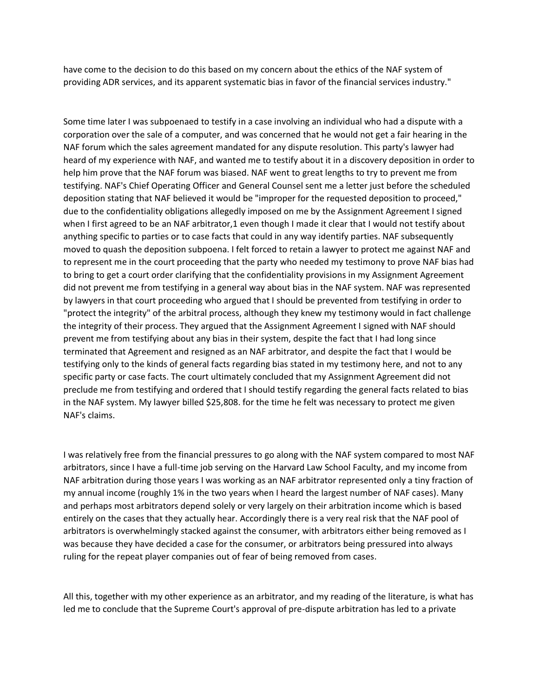have come to the decision to do this based on my concern about the ethics of the NAF system of providing ADR services, and its apparent systematic bias in favor of the financial services industry."

Some time later I was subpoenaed to testify in a case involving an individual who had a dispute with a corporation over the sale of a computer, and was concerned that he would not get a fair hearing in the NAF forum which the sales agreement mandated for any dispute resolution. This party's lawyer had heard of my experience with NAF, and wanted me to testify about it in a discovery deposition in order to help him prove that the NAF forum was biased. NAF went to great lengths to try to prevent me from testifying. NAF's Chief Operating Officer and General Counsel sent me a letter just before the scheduled deposition stating that NAF believed it would be "improper for the requested deposition to proceed," due to the confidentiality obligations allegedly imposed on me by the Assignment Agreement I signed when I first agreed to be an NAF arbitrator,1 even though I made it clear that I would not testify about anything specific to parties or to case facts that could in any way identify parties. NAF subsequently moved to quash the deposition subpoena. I felt forced to retain a lawyer to protect me against NAF and to represent me in the court proceeding that the party who needed my testimony to prove NAF bias had to bring to get a court order clarifying that the confidentiality provisions in my Assignment Agreement did not prevent me from testifying in a general way about bias in the NAF system. NAF was represented by lawyers in that court proceeding who argued that I should be prevented from testifying in order to "protect the integrity" of the arbitral process, although they knew my testimony would in fact challenge the integrity of their process. They argued that the Assignment Agreement I signed with NAF should prevent me from testifying about any bias in their system, despite the fact that I had long since terminated that Agreement and resigned as an NAF arbitrator, and despite the fact that I would be testifying only to the kinds of general facts regarding bias stated in my testimony here, and not to any specific party or case facts. The court ultimately concluded that my Assignment Agreement did not preclude me from testifying and ordered that I should testify regarding the general facts related to bias in the NAF system. My lawyer billed \$25,808. for the time he felt was necessary to protect me given NAF's claims.

I was relatively free from the financial pressures to go along with the NAF system compared to most NAF arbitrators, since I have a full-time job serving on the Harvard Law School Faculty, and my income from NAF arbitration during those years I was working as an NAF arbitrator represented only a tiny fraction of my annual income (roughly 1% in the two years when I heard the largest number of NAF cases). Many and perhaps most arbitrators depend solely or very largely on their arbitration income which is based entirely on the cases that they actually hear. Accordingly there is a very real risk that the NAF pool of arbitrators is overwhelmingly stacked against the consumer, with arbitrators either being removed as I was because they have decided a case for the consumer, or arbitrators being pressured into always ruling for the repeat player companies out of fear of being removed from cases.

All this, together with my other experience as an arbitrator, and my reading of the literature, is what has led me to conclude that the Supreme Court's approval of pre-dispute arbitration has led to a private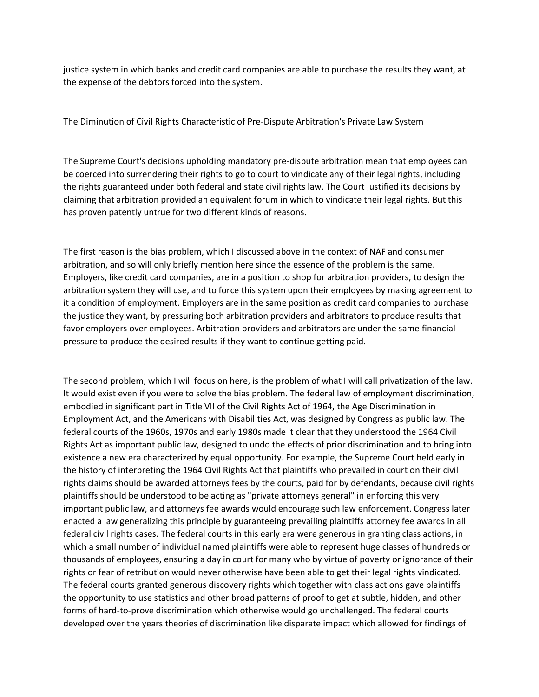justice system in which banks and credit card companies are able to purchase the results they want, at the expense of the debtors forced into the system.

The Diminution of Civil Rights Characteristic of Pre-Dispute Arbitration's Private Law System

The Supreme Court's decisions upholding mandatory pre-dispute arbitration mean that employees can be coerced into surrendering their rights to go to court to vindicate any of their legal rights, including the rights guaranteed under both federal and state civil rights law. The Court justified its decisions by claiming that arbitration provided an equivalent forum in which to vindicate their legal rights. But this has proven patently untrue for two different kinds of reasons.

The first reason is the bias problem, which I discussed above in the context of NAF and consumer arbitration, and so will only briefly mention here since the essence of the problem is the same. Employers, like credit card companies, are in a position to shop for arbitration providers, to design the arbitration system they will use, and to force this system upon their employees by making agreement to it a condition of employment. Employers are in the same position as credit card companies to purchase the justice they want, by pressuring both arbitration providers and arbitrators to produce results that favor employers over employees. Arbitration providers and arbitrators are under the same financial pressure to produce the desired results if they want to continue getting paid.

The second problem, which I will focus on here, is the problem of what I will call privatization of the law. It would exist even if you were to solve the bias problem. The federal law of employment discrimination, embodied in significant part in Title VII of the Civil Rights Act of 1964, the Age Discrimination in Employment Act, and the Americans with Disabilities Act, was designed by Congress as public law. The federal courts of the 1960s, 1970s and early 1980s made it clear that they understood the 1964 Civil Rights Act as important public law, designed to undo the effects of prior discrimination and to bring into existence a new era characterized by equal opportunity. For example, the Supreme Court held early in the history of interpreting the 1964 Civil Rights Act that plaintiffs who prevailed in court on their civil rights claims should be awarded attorneys fees by the courts, paid for by defendants, because civil rights plaintiffs should be understood to be acting as "private attorneys general" in enforcing this very important public law, and attorneys fee awards would encourage such law enforcement. Congress later enacted a law generalizing this principle by guaranteeing prevailing plaintiffs attorney fee awards in all federal civil rights cases. The federal courts in this early era were generous in granting class actions, in which a small number of individual named plaintiffs were able to represent huge classes of hundreds or thousands of employees, ensuring a day in court for many who by virtue of poverty or ignorance of their rights or fear of retribution would never otherwise have been able to get their legal rights vindicated. The federal courts granted generous discovery rights which together with class actions gave plaintiffs the opportunity to use statistics and other broad patterns of proof to get at subtle, hidden, and other forms of hard-to-prove discrimination which otherwise would go unchallenged. The federal courts developed over the years theories of discrimination like disparate impact which allowed for findings of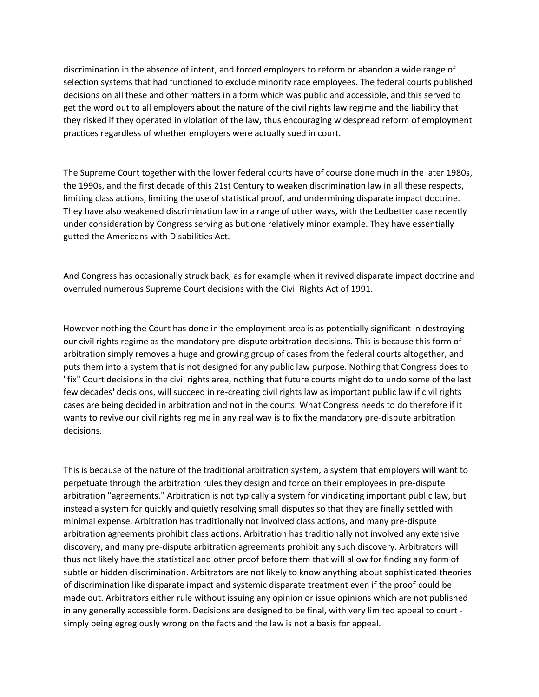discrimination in the absence of intent, and forced employers to reform or abandon a wide range of selection systems that had functioned to exclude minority race employees. The federal courts published decisions on all these and other matters in a form which was public and accessible, and this served to get the word out to all employers about the nature of the civil rights law regime and the liability that they risked if they operated in violation of the law, thus encouraging widespread reform of employment practices regardless of whether employers were actually sued in court.

The Supreme Court together with the lower federal courts have of course done much in the later 1980s, the 1990s, and the first decade of this 21st Century to weaken discrimination law in all these respects, limiting class actions, limiting the use of statistical proof, and undermining disparate impact doctrine. They have also weakened discrimination law in a range of other ways, with the Ledbetter case recently under consideration by Congress serving as but one relatively minor example. They have essentially gutted the Americans with Disabilities Act.

And Congress has occasionally struck back, as for example when it revived disparate impact doctrine and overruled numerous Supreme Court decisions with the Civil Rights Act of 1991.

However nothing the Court has done in the employment area is as potentially significant in destroying our civil rights regime as the mandatory pre-dispute arbitration decisions. This is because this form of arbitration simply removes a huge and growing group of cases from the federal courts altogether, and puts them into a system that is not designed for any public law purpose. Nothing that Congress does to "fix" Court decisions in the civil rights area, nothing that future courts might do to undo some of the last few decades' decisions, will succeed in re-creating civil rights law as important public law if civil rights cases are being decided in arbitration and not in the courts. What Congress needs to do therefore if it wants to revive our civil rights regime in any real way is to fix the mandatory pre-dispute arbitration decisions.

This is because of the nature of the traditional arbitration system, a system that employers will want to perpetuate through the arbitration rules they design and force on their employees in pre-dispute arbitration "agreements." Arbitration is not typically a system for vindicating important public law, but instead a system for quickly and quietly resolving small disputes so that they are finally settled with minimal expense. Arbitration has traditionally not involved class actions, and many pre-dispute arbitration agreements prohibit class actions. Arbitration has traditionally not involved any extensive discovery, and many pre-dispute arbitration agreements prohibit any such discovery. Arbitrators will thus not likely have the statistical and other proof before them that will allow for finding any form of subtle or hidden discrimination. Arbitrators are not likely to know anything about sophisticated theories of discrimination like disparate impact and systemic disparate treatment even if the proof could be made out. Arbitrators either rule without issuing any opinion or issue opinions which are not published in any generally accessible form. Decisions are designed to be final, with very limited appeal to court simply being egregiously wrong on the facts and the law is not a basis for appeal.